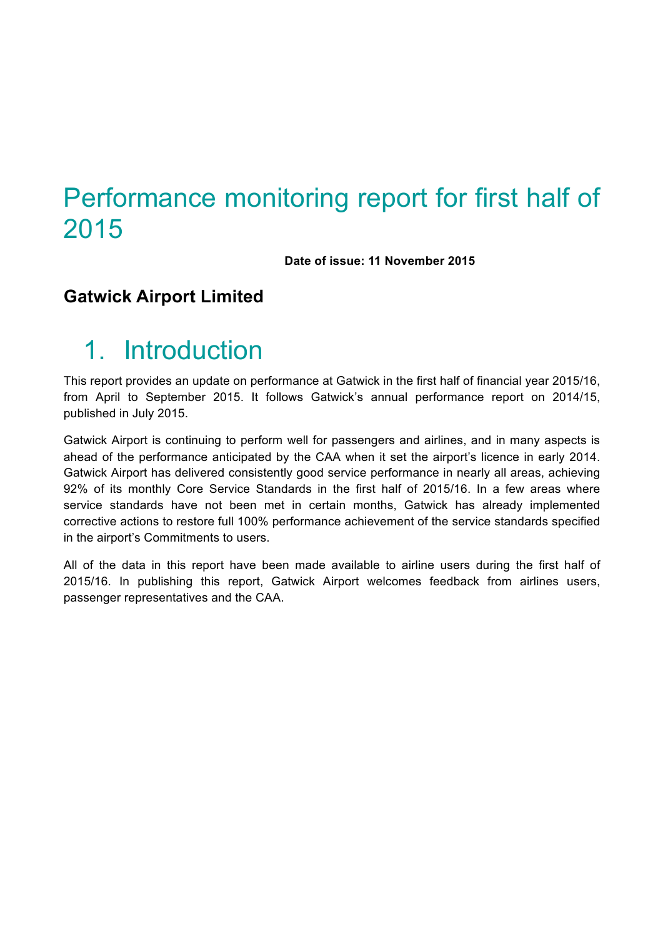# Performance monitoring report for first half of 2015

**Date of issue: 11 November 2015**

### **Gatwick Airport Limited**

# 1. Introduction

This report provides an update on performance at Gatwick in the first half of financial year 2015/16, from April to September 2015. It follows Gatwick's annual performance report on 2014/15, published in July 2015.

Gatwick Airport is continuing to perform well for passengers and airlines, and in many aspects is ahead of the performance anticipated by the CAA when it set the airport's licence in early 2014. Gatwick Airport has delivered consistently good service performance in nearly all areas, achieving 92% of its monthly Core Service Standards in the first half of 2015/16. In a few areas where service standards have not been met in certain months, Gatwick has already implemented corrective actions to restore full 100% performance achievement of the service standards specified in the airport's Commitments to users.

All of the data in this report have been made available to airline users during the first half of 2015/16. In publishing this report, Gatwick Airport welcomes feedback from airlines users, passenger representatives and the CAA.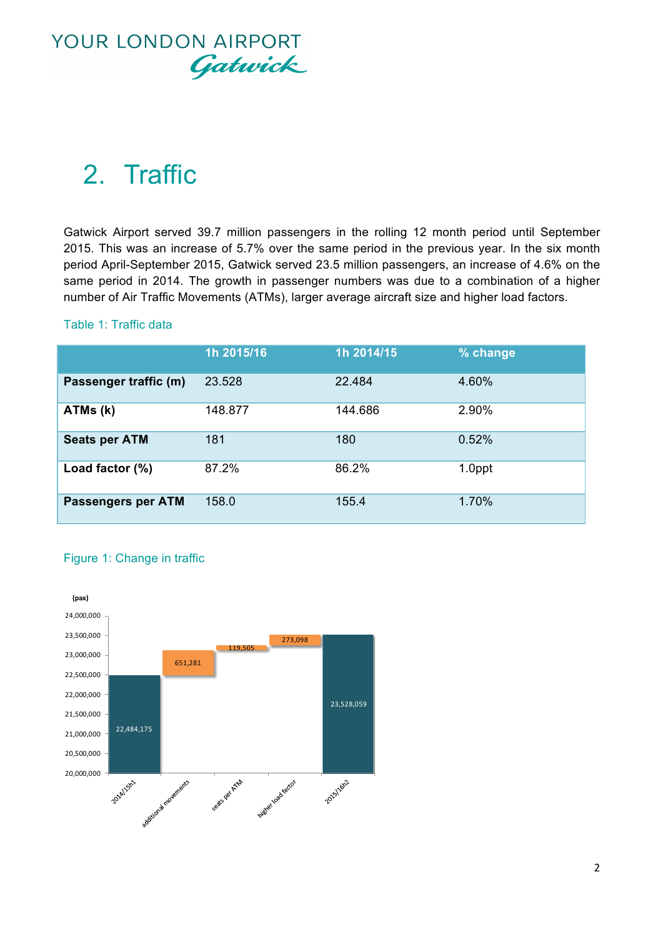

# 2. Traffic

Gatwick Airport served 39.7 million passengers in the rolling 12 month period until September 2015. This was an increase of 5.7% over the same period in the previous year. In the six month period April-September 2015, Gatwick served 23.5 million passengers, an increase of 4.6% on the same period in 2014. The growth in passenger numbers was due to a combination of a higher number of Air Traffic Movements (ATMs), larger average aircraft size and higher load factors.

#### Table 1: Traffic data

|                           | 1h 2015/16 | 1h 2014/15 | % change |
|---------------------------|------------|------------|----------|
| Passenger traffic (m)     | 23.528     | 22.484     | 4.60%    |
| ATMs (k)                  | 148.877    | 144.686    | 2.90%    |
| <b>Seats per ATM</b>      | 181        | 180        | 0.52%    |
| Load factor $(\%)$        | 87.2%      | 86.2%      | 1.0ppt   |
| <b>Passengers per ATM</b> | 158.0      | 155.4      | 1.70%    |

#### Figure 1: Change in traffic

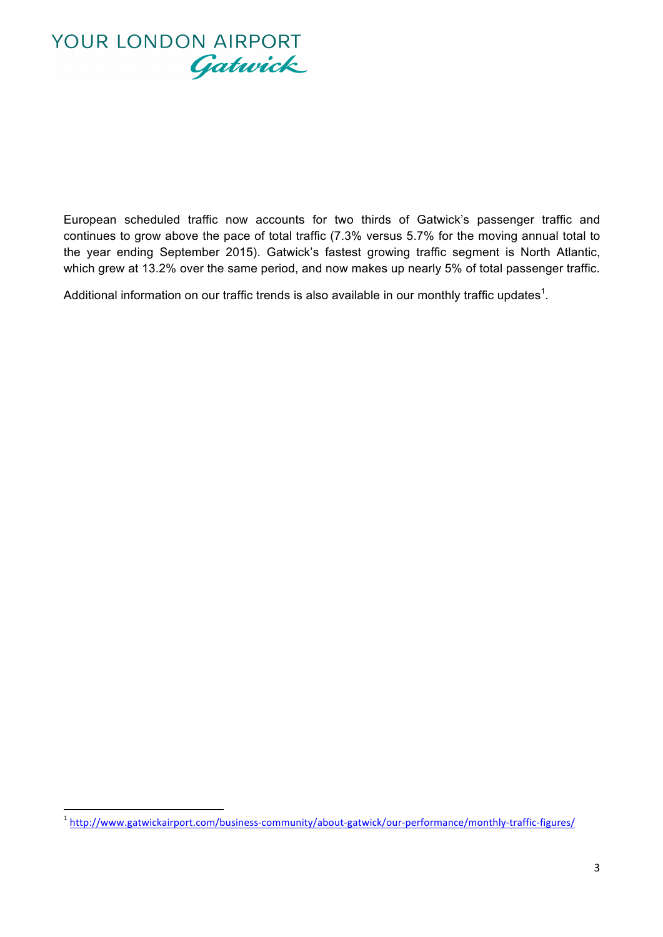

European scheduled traffic now accounts for two thirds of Gatwick's passenger traffic and continues to grow above the pace of total traffic (7.3% versus 5.7% for the moving annual total to the year ending September 2015). Gatwick's fastest growing traffic segment is North Atlantic, which grew at 13.2% over the same period, and now makes up nearly 5% of total passenger traffic.

Additional information on our traffic trends is also available in our monthly traffic updates<sup>1</sup>.

 

<sup>1</sup> http://www.gatwickairport.com/business-community/about-gatwick/our-performance/monthly-traffic-figures/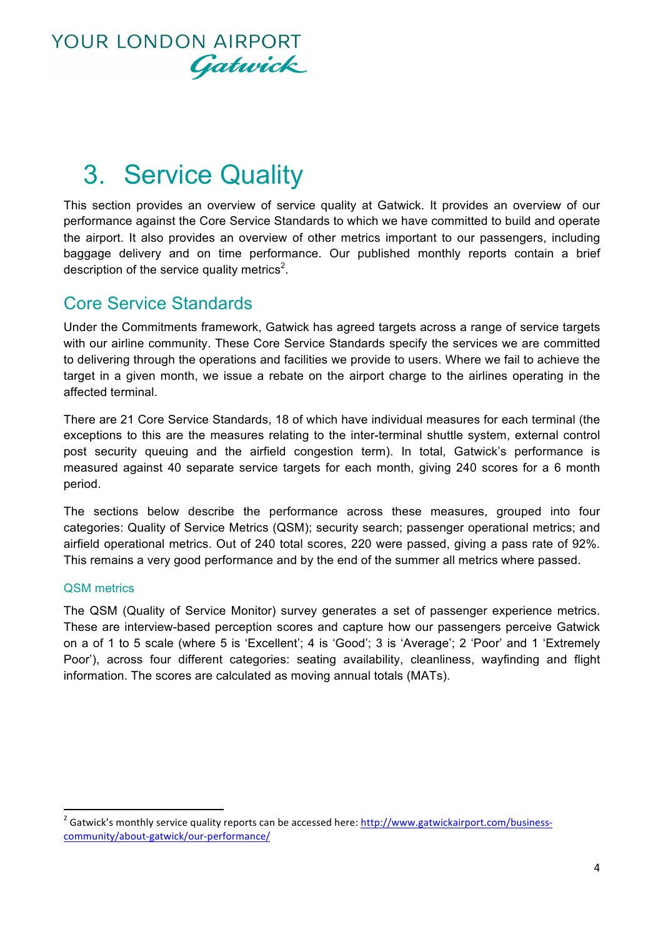

# 3. Service Quality

This section provides an overview of service quality at Gatwick. It provides an overview of our performance against the Core Service Standards to which we have committed to build and operate the airport. It also provides an overview of other metrics important to our passengers, including baggage delivery and on time performance. Our published monthly reports contain a brief description of the service quality metrics<sup>2</sup>.

### Core Service Standards

Under the Commitments framework, Gatwick has agreed targets across a range of service targets with our airline community. These Core Service Standards specify the services we are committed to delivering through the operations and facilities we provide to users. Where we fail to achieve the target in a given month, we issue a rebate on the airport charge to the airlines operating in the affected terminal.

There are 21 Core Service Standards, 18 of which have individual measures for each terminal (the exceptions to this are the measures relating to the inter-terminal shuttle system, external control post security queuing and the airfield congestion term). In total, Gatwick's performance is measured against 40 separate service targets for each month, giving 240 scores for a 6 month period.

The sections below describe the performance across these measures, grouped into four categories: Quality of Service Metrics (QSM); security search; passenger operational metrics; and airfield operational metrics. Out of 240 total scores, 220 were passed, giving a pass rate of 92%. This remains a very good performance and by the end of the summer all metrics where passed.

#### QSM metrics

 

The QSM (Quality of Service Monitor) survey generates a set of passenger experience metrics. These are interview-based perception scores and capture how our passengers perceive Gatwick on a of 1 to 5 scale (where 5 is 'Excellent'; 4 is 'Good'; 3 is 'Average'; 2 'Poor' and 1 'Extremely Poor'), across four different categories: seating availability, cleanliness, wayfinding and flight information. The scores are calculated as moving annual totals (MATs).

<sup>&</sup>lt;sup>2</sup> Gatwick's monthly service quality reports can be accessed here: http://www.gatwickairport.com/businesscommunity/about-gatwick/our-performance/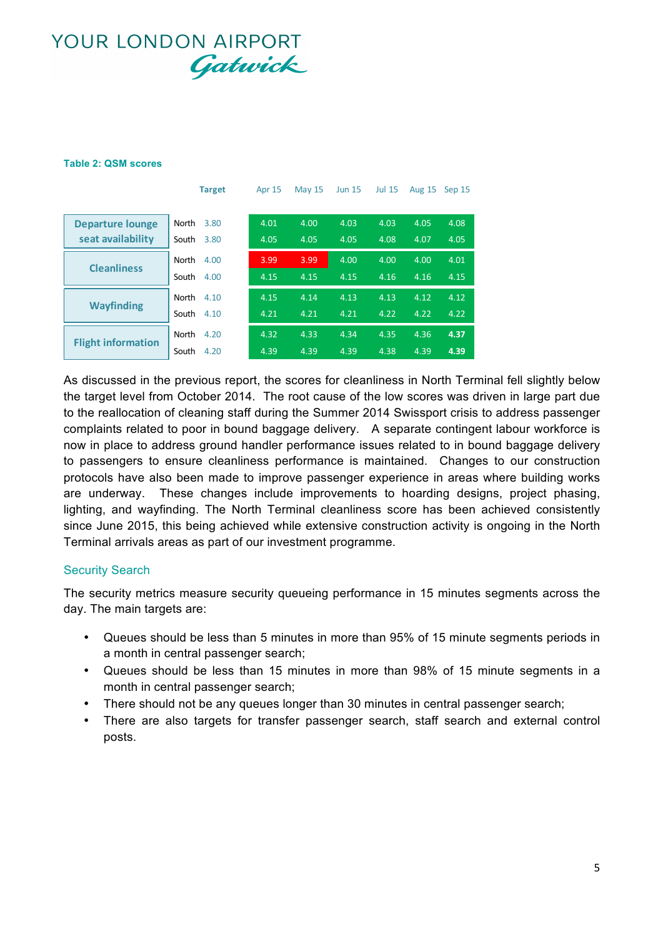#### **Table 2: QSM scores**

|                           | <b>Target</b> | <b>Apr 15</b> | <b>May 15</b> | <b>Jun 15</b> | <b>Jul 15</b> | <b>Aug 15</b> | Sep 15 |
|---------------------------|---------------|---------------|---------------|---------------|---------------|---------------|--------|
|                           |               |               |               |               |               |               |        |
| <b>Departure lounge</b>   | North<br>3.80 | 4.01          | 4.00          | 4.03          | 4.03          | 4.05          | 4.08   |
| seat availability         | South<br>3.80 | 4.05          | 4.05          | 4.05          | 4.08          | 4.07          | 4.05   |
|                           | North<br>4.00 | 3.99          | 3.99          | 4.00          | 4.00          | 4.00          | 4.01   |
| <b>Cleanliness</b>        | South<br>4.00 | 4.15          | 4.15          | 4.15          | 4.16          | 4.16          | 4.15   |
|                           | North<br>4.10 | 4.15          | 4.14          | 4.13          | 4.13          | 4.12          | 4.12   |
| <b>Wayfinding</b>         | South<br>4.10 | 4.21          | 4.21          | 4.21          | 4.22          | 4.22          | 4.22   |
| <b>Flight information</b> | North<br>4.20 | 4.32          | 4.33          | 4.34          | 4.35          | 4.36          | 4.37   |
|                           | South<br>4.20 | 4.39          | 4.39          | 4.39          | 4.38          | 4.39          | 4.39   |

As discussed in the previous report, the scores for cleanliness in North Terminal fell slightly below the target level from October 2014. The root cause of the low scores was driven in large part due to the reallocation of cleaning staff during the Summer 2014 Swissport crisis to address passenger complaints related to poor in bound baggage delivery. A separate contingent labour workforce is now in place to address ground handler performance issues related to in bound baggage delivery to passengers to ensure cleanliness performance is maintained. Changes to our construction protocols have also been made to improve passenger experience in areas where building works are underway. These changes include improvements to hoarding designs, project phasing, lighting, and wayfinding. The North Terminal cleanliness score has been achieved consistently since June 2015, this being achieved while extensive construction activity is ongoing in the North Terminal arrivals areas as part of our investment programme.

#### Security Search

The security metrics measure security queueing performance in 15 minutes segments across the day. The main targets are:

- Queues should be less than 5 minutes in more than 95% of 15 minute segments periods in a month in central passenger search;
- Queues should be less than 15 minutes in more than 98% of 15 minute segments in a month in central passenger search;
- There should not be any queues longer than 30 minutes in central passenger search;
- There are also targets for transfer passenger search, staff search and external control posts.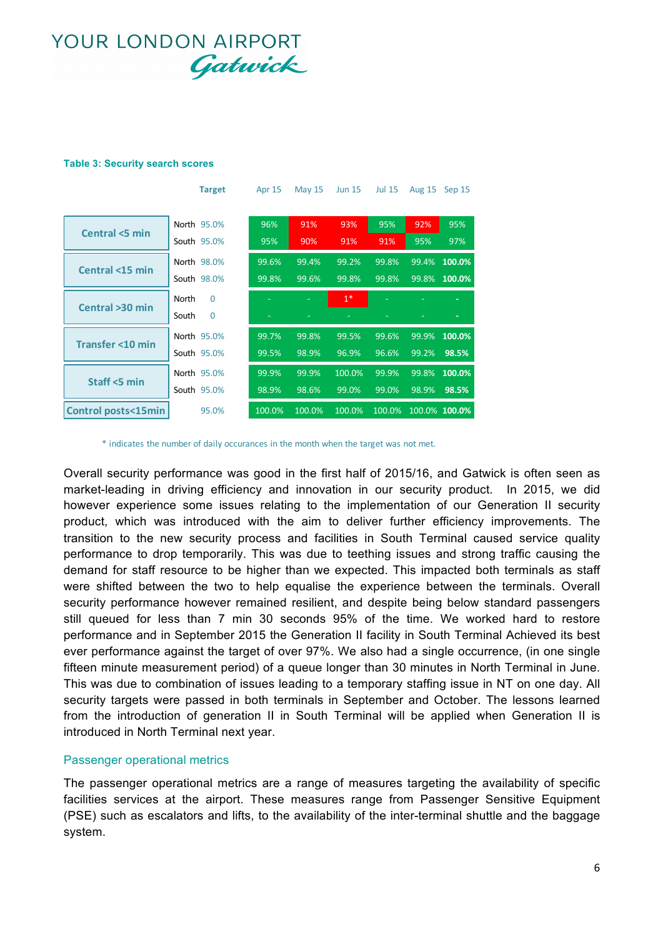#### **Table 3: Security search scores**

|                               | <b>Target</b>     | Apr 15 | <b>May 15</b> | <b>Jun 15</b> | <b>Jul 15</b> | <b>Aug 15</b> | Sep 15        |
|-------------------------------|-------------------|--------|---------------|---------------|---------------|---------------|---------------|
|                               |                   |        |               |               |               |               |               |
| Central <5 min                | North 95.0%       | 96%    | 91%           | 93%           | 95%           | 92%           | 95%           |
|                               | South 95.0%       | 95%    | 90%           | 91%           | 91%           | 95%           | 97%           |
| Central <15 min               | North 98.0%       | 99.6%  | 99.4%         | 99.2%         | 99.8%         | 99.4%         | 100.0%        |
|                               | South 98.0%       | 99.8%  | 99.6%         | 99.8%         | 99.8%         | 99.8%         | 100.0%        |
|                               | North<br>$\Omega$ |        |               | $1^*$         |               |               |               |
| Central >30 min               | South<br>$\Omega$ |        |               |               |               |               |               |
| Transfer <10 min              | North 95.0%       | 99.7%  | 99.8%         | 99.5%         | 99.6%         | 99.9%         | 100.0%        |
|                               | South 95.0%       | 99.5%  | 98.9%         | 96.9%         | 96.6%         | 99.2%         | 98.5%         |
| Staff <5 min                  | North 95.0%       | 99.9%  | 99.9%         | 100.0%        | 99.9%         | 99.8%         | 100.0%        |
|                               | South 95.0%       | 98.9%  | 98.6%         | 99.0%         | $99.0\%$      | 98.9%         | 98.5%         |
| <b>Control posts&lt;15min</b> | 95.0%             | 100.0% | 100.0%        | 100.0%        | 100.0%        |               | 100.0% 100.0% |

\* indicates the number of daily occurances in the month when the target was not met.

Overall security performance was good in the first half of 2015/16, and Gatwick is often seen as market-leading in driving efficiency and innovation in our security product. In 2015, we did however experience some issues relating to the implementation of our Generation II security product, which was introduced with the aim to deliver further efficiency improvements. The transition to the new security process and facilities in South Terminal caused service quality performance to drop temporarily. This was due to teething issues and strong traffic causing the demand for staff resource to be higher than we expected. This impacted both terminals as staff were shifted between the two to help equalise the experience between the terminals. Overall security performance however remained resilient, and despite being below standard passengers still queued for less than 7 min 30 seconds 95% of the time. We worked hard to restore performance and in September 2015 the Generation II facility in South Terminal Achieved its best ever performance against the target of over 97%. We also had a single occurrence, (in one single fifteen minute measurement period) of a queue longer than 30 minutes in North Terminal in June. This was due to combination of issues leading to a temporary staffing issue in NT on one day. All security targets were passed in both terminals in September and October. The lessons learned from the introduction of generation II in South Terminal will be applied when Generation II is introduced in North Terminal next year.

#### Passenger operational metrics

The passenger operational metrics are a range of measures targeting the availability of specific facilities services at the airport. These measures range from Passenger Sensitive Equipment (PSE) such as escalators and lifts, to the availability of the inter-terminal shuttle and the baggage system.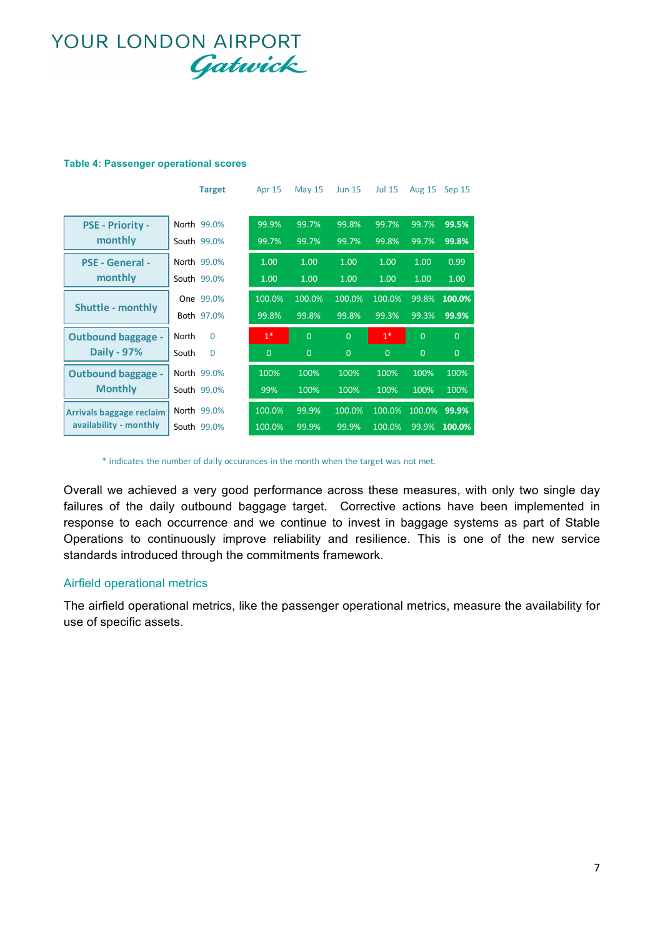#### **Table 4: Passenger operational scores**

|                                                    | <b>Target</b>     | Apr 15         | <b>May 15</b>  | <b>Jun 15</b>  | <b>Jul 15</b> | <b>Aug 15</b>  | Sep 15         |
|----------------------------------------------------|-------------------|----------------|----------------|----------------|---------------|----------------|----------------|
|                                                    |                   |                |                |                |               |                |                |
| <b>PSE - Priority -</b>                            | North 99.0%       | 99.9%          | 99.7%          | 99.8%          | 99.7%         | 99.7%          | 99.5%          |
| monthly                                            | South 99.0%       | 99.7%          | 99.7%          | 99.7%          | 99.8%         | 99.7%          | 99.8%          |
| <b>PSE - General -</b>                             | North 99.0%       | 1.00           | 1.00           | 1.00           | 1.00          | 1.00           | 0.99           |
| monthly                                            | South 99.0%       | 1.00           | 1.00           | 1.00           | 1.00          | 1.00           | 1.00           |
| <b>Shuttle - monthly</b>                           | One 99.0%         | 100.0%         | 100.0%         | 100.0%         | 100.0%        | 99.8%          | 100.0%         |
|                                                    | Both 97.0%        | 99.8%          | 99.8%          | 99.8%          | 99.3%         | 99.3%          | 99.9%          |
| <b>Outbound baggage -</b>                          | North<br>$\Omega$ | $1*$           | $\overline{0}$ | $\overline{0}$ | $1*$          | $\overline{0}$ | $\overline{0}$ |
| <b>Daily - 97%</b>                                 | South<br>$\Omega$ | $\overline{0}$ | $\overline{0}$ | $\overline{0}$ | $\Omega$      | $\overline{0}$ | $\overline{0}$ |
| <b>Outbound baggage -</b>                          | North 99.0%       | 100%           | 100%           | 100%           | 100%          | 100%           | 100%           |
| <b>Monthly</b>                                     | South 99.0%       | 99%            | 100%           | 100%           | 100%          | 100%           | 100%           |
| Arrivals baggage reclaim<br>availability - monthly | North 99.0%       | 100.0%         | 99.9%          | 100.0%         | 100.0%        | 100.0%         | 99.9%          |
|                                                    | South 99.0%       | 100.0%         | 99.9%          | 99.9%          | 100.0%        | 99.9%          | 100.0%         |

\* indicates the number of daily occurances in the month when the target was not met.

Overall we achieved a very good performance across these measures, with only two single day failures of the daily outbound baggage target. Corrective actions have been implemented in response to each occurrence and we continue to invest in baggage systems as part of Stable Operations to continuously improve reliability and resilience. This is one of the new service standards introduced through the commitments framework.

#### Airfield operational metrics

The airfield operational metrics, like the passenger operational metrics, measure the availability for use of specific assets.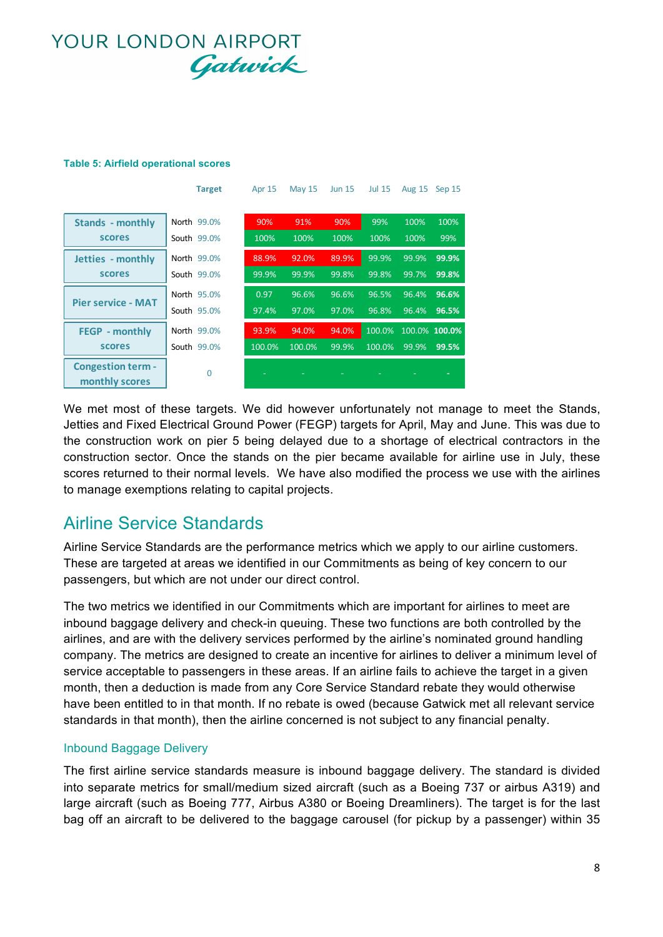#### **Table 5: Airfield operational scores**

|                           | <b>Target</b> | <b>Apr 15</b> | <b>May 15</b> | <b>Jun 15</b> | <b>Jul 15</b> | <b>Aug 15</b> | Sep 15        |
|---------------------------|---------------|---------------|---------------|---------------|---------------|---------------|---------------|
|                           |               |               |               |               |               |               |               |
| <b>Stands - monthly</b>   | North 99.0%   | 90%           | 91%           | 90%           | 99%           | 100%          | 100%          |
| <b>scores</b>             | South 99.0%   | 100%          | 100%          | 100%          | 100%          | 100%          | 99%           |
| Jetties - monthly         | North 99.0%   | 88.9%         | 92.0%         | 89.9%         | 99.9%         | 99.9%         | 99.9%         |
| <b>scores</b>             | South 99.0%   | 99.9%         | 99.9%         | 99.8%         | 99.8%         | 99.7%         | 99.8%         |
|                           | North 95.0%   | 0.97          | 96.6%         | 96.6%         | 96.5%         | 96.4%         | 96.6%         |
| <b>Pier service - MAT</b> | South 95.0%   | 97.4%         | 97.0%         | 97.0%         | .96.8%        | 96.4%         | 96.5%         |
| <b>FEGP</b> - monthly     | North 99.0%   | 93.9%         | 94.0%         | 94.0%         | 100.0%        |               | 100.0% 100.0% |
| scores                    | South 99.0%   | 100.0%        | 100.0%        | 99.9%         | 100.0%        | 99.9%         | 99.5%         |
| <b>Congestion term -</b>  | $\Omega$      |               |               |               |               |               |               |
| monthly scores            |               |               |               |               |               |               |               |

We met most of these targets. We did however unfortunately not manage to meet the Stands, Jetties and Fixed Electrical Ground Power (FEGP) targets for April, May and June. This was due to the construction work on pier 5 being delayed due to a shortage of electrical contractors in the construction sector. Once the stands on the pier became available for airline use in July, these scores returned to their normal levels. We have also modified the process we use with the airlines to manage exemptions relating to capital projects.

### Airline Service Standards

Airline Service Standards are the performance metrics which we apply to our airline customers. These are targeted at areas we identified in our Commitments as being of key concern to our passengers, but which are not under our direct control.

The two metrics we identified in our Commitments which are important for airlines to meet are inbound baggage delivery and check-in queuing. These two functions are both controlled by the airlines, and are with the delivery services performed by the airline's nominated ground handling company. The metrics are designed to create an incentive for airlines to deliver a minimum level of service acceptable to passengers in these areas. If an airline fails to achieve the target in a given month, then a deduction is made from any Core Service Standard rebate they would otherwise have been entitled to in that month. If no rebate is owed (because Gatwick met all relevant service standards in that month), then the airline concerned is not subject to any financial penalty.

#### Inbound Baggage Delivery

The first airline service standards measure is inbound baggage delivery. The standard is divided into separate metrics for small/medium sized aircraft (such as a Boeing 737 or airbus A319) and large aircraft (such as Boeing 777, Airbus A380 or Boeing Dreamliners). The target is for the last bag off an aircraft to be delivered to the baggage carousel (for pickup by a passenger) within 35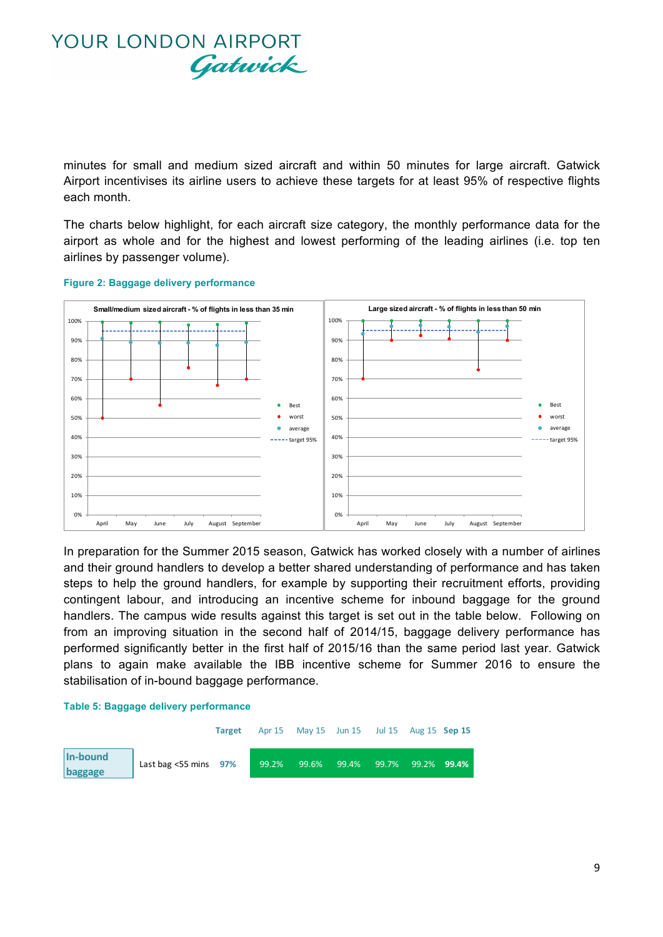minutes for small and medium sized aircraft and within 50 minutes for large aircraft. Gatwick Airport incentivises its airline users to achieve these targets for at least 95% of respective flights each month.

The charts below highlight, for each aircraft size category, the monthly performance data for the airport as whole and for the highest and lowest performing of the leading airlines (i.e. top ten airlines by passenger volume).



#### **Figure 2: Baggage delivery performance**

In preparation for the Summer 2015 season, Gatwick has worked closely with a number of airlines and their ground handlers to develop a better shared understanding of performance and has taken steps to help the ground handlers, for example by supporting their recruitment efforts, providing contingent labour, and introducing an incentive scheme for inbound baggage for the ground handlers. The campus wide results against this target is set out in the table below. Following on from an improving situation in the second half of 2014/15, baggage delivery performance has performed significantly better in the first half of 2015/16 than the same period last year. Gatwick plans to again make available the IBB incentive scheme for Summer 2016 to ensure the stabilisation of in-bound baggage performance.

#### **Table 5: Baggage delivery performance**

|                     |                             | <b>Target</b> |       | Apr 15 May 15 Jun 15 Jul 15 Aug 15 Sep 15 |                          |  |
|---------------------|-----------------------------|---------------|-------|-------------------------------------------|--------------------------|--|
| In-bound<br>baggage | Last bag $<$ 55 mins $97\%$ |               | 99.2% | 99.6%  99.4%                              | 99.7% 99.2% <b>99.4%</b> |  |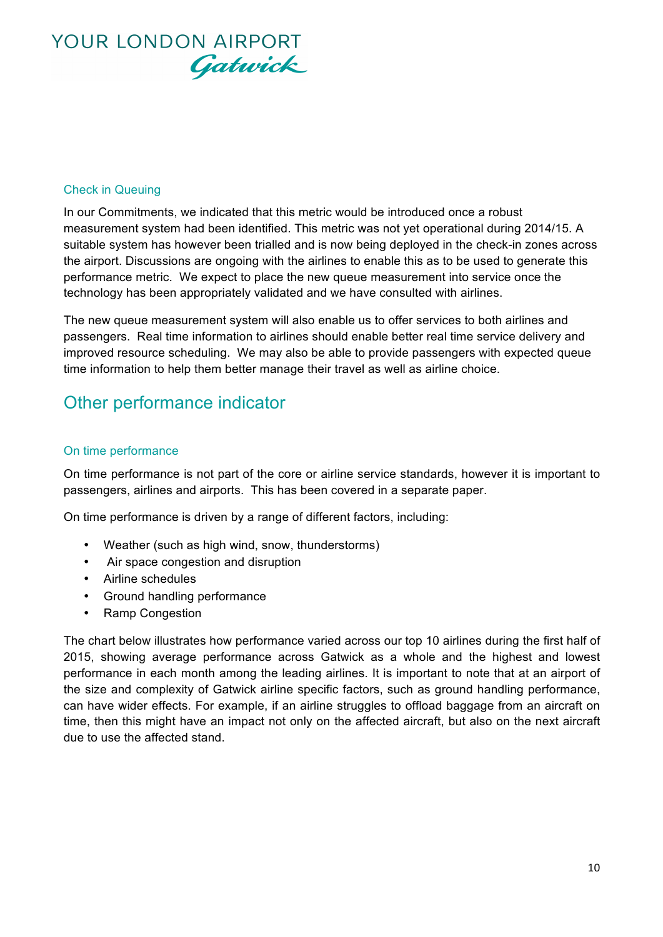

#### Check in Queuing

In our Commitments, we indicated that this metric would be introduced once a robust measurement system had been identified. This metric was not yet operational during 2014/15. A suitable system has however been trialled and is now being deployed in the check-in zones across the airport. Discussions are ongoing with the airlines to enable this as to be used to generate this performance metric. We expect to place the new queue measurement into service once the technology has been appropriately validated and we have consulted with airlines.

The new queue measurement system will also enable us to offer services to both airlines and passengers. Real time information to airlines should enable better real time service delivery and improved resource scheduling. We may also be able to provide passengers with expected queue time information to help them better manage their travel as well as airline choice.

### Other performance indicator

#### On time performance

On time performance is not part of the core or airline service standards, however it is important to passengers, airlines and airports. This has been covered in a separate paper.

On time performance is driven by a range of different factors, including:

- Weather (such as high wind, snow, thunderstorms)
- Air space congestion and disruption
- Airline schedules
- Ground handling performance
- Ramp Congestion

The chart below illustrates how performance varied across our top 10 airlines during the first half of 2015, showing average performance across Gatwick as a whole and the highest and lowest performance in each month among the leading airlines. It is important to note that at an airport of the size and complexity of Gatwick airline specific factors, such as ground handling performance, can have wider effects. For example, if an airline struggles to offload baggage from an aircraft on time, then this might have an impact not only on the affected aircraft, but also on the next aircraft due to use the affected stand.